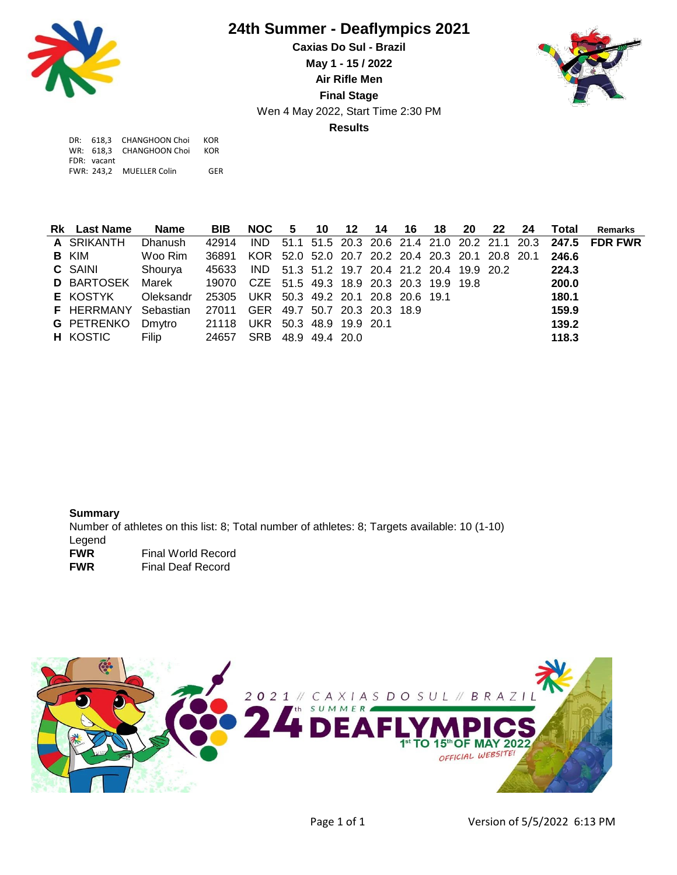

## **24th Summer - Deaflympics 2021**

Wen 4 May 2022, Start Time 2:30 PM **Caxias Do Sul - Brazil May 1 - 15 / 2022 Air Rifle Men Final Stage Results**



|             | DR: 618.3 CHANGHOON Choi | KOR |
|-------------|--------------------------|-----|
|             | WR: 618.3 CHANGHOON Choi | KOR |
| FDR: vacant |                          |     |
|             | FWR: 243.2 MUELLER Colin | GFR |

| <b>Rk</b> Last Name                                           | Name                                              | <b>BIB</b>                                                   |  |  |  |  |  | NOC 5 10 12 14 16 18 20 22 24 Total | <b>Remarks</b>                                                 |
|---------------------------------------------------------------|---------------------------------------------------|--------------------------------------------------------------|--|--|--|--|--|-------------------------------------|----------------------------------------------------------------|
| A SRIKANTH                                                    | Dhanush                                           | 42914                                                        |  |  |  |  |  |                                     | IND 51.1 51.5 20.3 20.6 21.4 21.0 20.2 21.1 20.3 247.5 FDR FWR |
| <b>B</b> KIM                                                  | Woo Rim                                           | 36891 KOR 52.0 52.0 20.7 20.2 20.4 20.3 20.1 20.8 20.1 246.6 |  |  |  |  |  |                                     |                                                                |
| <b>C</b> SAINI Shourya                                        |                                                   | 45633 IND 51.3 51.2 19.7 20.4 21.2 20.4 19.9 20.2            |  |  |  |  |  | 224.3                               |                                                                |
| D BARTOSEK Marek 19070 CZE 51.5 49.3 18.9 20.3 20.3 19.9 19.8 |                                                   |                                                              |  |  |  |  |  | 200.0                               |                                                                |
| E KOSTYK                                                      | Oleksandr 25305 UKR 50.3 49.2 20.1 20.8 20.6 19.1 |                                                              |  |  |  |  |  | 180.1                               |                                                                |
| F HERRMANY Sebastian 27011 GER 49.7 50.7 20.3 20.3 18.9       |                                                   |                                                              |  |  |  |  |  | 159.9                               |                                                                |
| G PETRENKO Dmytro 21118 UKR 50.3 48.9 19.9 20.1               |                                                   |                                                              |  |  |  |  |  | 139.2                               |                                                                |
| <b>H</b> KOSTIC                                               | <b>Filip</b>                                      | 24657 SRB 48.9 49.4 20.0                                     |  |  |  |  |  | 118.3                               |                                                                |

**Summary** Number of athletes on this list: 8; Total number of athletes: 8; Targets available: 10 (1-10) Legend **FWR** Final World Record<br>
FWR Final Deaf Record **Final Deaf Record**